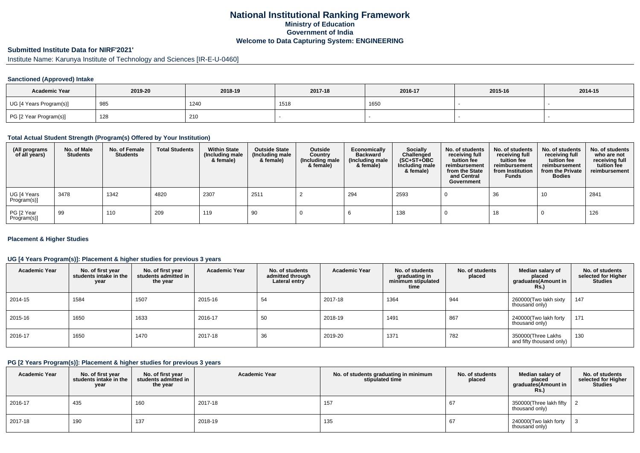# **National Institutional Ranking FrameworkMinistry of Education Government of IndiaWelcome to Data Capturing System: ENGINEERING**

# **Submitted Institute Data for NIRF'2021'**

Institute Name: Karunya Institute of Technology and Sciences [IR-E-U-0460]

### **Sanctioned (Approved) Intake**

| <b>Academic Year</b>    | 2019-20 | 2018-19 | 2017-18 | 2016-17 | 2015-16 | 2014-15 |
|-------------------------|---------|---------|---------|---------|---------|---------|
| UG [4 Years Program(s)] | 985     | 1240    | 1518    | 1650    |         |         |
| PG [2 Year Program(s)]  | 128     | 210     |         |         |         |         |

#### **Total Actual Student Strength (Program(s) Offered by Your Institution)**

| (All programs<br>of all years) | No. of Male<br><b>Students</b> | No. of Female<br><b>Students</b> | <b>Total Students</b> | <b>Within State</b><br>(Including male<br>& female) | <b>Outside State</b><br>(Including male<br>& female) | Outside<br>Country<br>(Including male<br>& female) | Economically<br><b>Backward</b><br>(Including male<br>& female) | Socially<br>Challenged<br>$(SC+ST+OBC)$<br>Including male<br>& female) | No. of students<br>receiving full<br>tuition fee<br>reimbursement<br>from the State<br>and Central<br>Government | No. of students<br>receiving full<br>tuition fee<br>reimbursement<br>from Institution<br><b>Funds</b> | No. of students<br>receiving full<br>tuition fee<br>reimbursement<br>from the Private<br><b>Bodies</b> | No. of students<br>who are not<br>receiving full<br>tuition fee<br>reimbursement |
|--------------------------------|--------------------------------|----------------------------------|-----------------------|-----------------------------------------------------|------------------------------------------------------|----------------------------------------------------|-----------------------------------------------------------------|------------------------------------------------------------------------|------------------------------------------------------------------------------------------------------------------|-------------------------------------------------------------------------------------------------------|--------------------------------------------------------------------------------------------------------|----------------------------------------------------------------------------------|
| UG [4 Years<br>Program(s)]     | 3478                           | 1342                             | 4820                  | 2307                                                | 2511                                                 |                                                    | 294                                                             | 2593                                                                   |                                                                                                                  | 36                                                                                                    | 10                                                                                                     | 2841                                                                             |
| PG [2 Year<br>Program(s)]      | 99                             | 110                              | 209                   | 119                                                 | 90                                                   |                                                    |                                                                 | 138                                                                    |                                                                                                                  | 18                                                                                                    |                                                                                                        | 126                                                                              |

#### **Placement & Higher Studies**

### **UG [4 Years Program(s)]: Placement & higher studies for previous 3 years**

| <b>Academic Year</b> | No. of first year<br>students intake in the<br>year | No. of first vear<br>students admitted in<br>the year | <b>Academic Year</b> | No. of students<br>admitted through<br>Lateral entry | <b>Academic Year</b> | No. of students<br>graduating in<br>minimum stipulated<br>time | No. of students<br>placed | Median salary of<br>placed<br>graduates(Amount in<br><b>Rs.</b> ) | No. of students<br>selected for Higher<br><b>Studies</b> |
|----------------------|-----------------------------------------------------|-------------------------------------------------------|----------------------|------------------------------------------------------|----------------------|----------------------------------------------------------------|---------------------------|-------------------------------------------------------------------|----------------------------------------------------------|
| 2014-15              | 1584                                                | 1507                                                  | 2015-16              | 54                                                   | 2017-18              | 1364                                                           | 944                       | 260000(Two lakh sixty<br>thousand only)                           | 147                                                      |
| 2015-16              | 1650                                                | 1633                                                  | 2016-17              | 50                                                   | 2018-19              | 1491                                                           | 867                       | 240000(Two lakh forty<br>thousand only)                           | 171                                                      |
| 2016-17              | 1650                                                | 1470                                                  | 2017-18              | 36                                                   | 2019-20              | 1371                                                           | 782                       | 350000(Three Lakhs<br>and fifty thousand only)                    | 130                                                      |

#### **PG [2 Years Program(s)]: Placement & higher studies for previous 3 years**

| <b>Academic Year</b> | No. of first year<br>students intake in the<br>year | No. of first vear<br>students admitted in<br>the year | <b>Academic Year</b> | No. of students graduating in minimum<br>stipulated time | No. of students<br>placed | Median salary of<br>placed<br>graduates(Amount in<br>Rs.) | No. of students<br>selected for Higher<br><b>Studies</b> |
|----------------------|-----------------------------------------------------|-------------------------------------------------------|----------------------|----------------------------------------------------------|---------------------------|-----------------------------------------------------------|----------------------------------------------------------|
| $12016 - 17$         | 435                                                 | 160                                                   | 2017-18              | 157                                                      | 67                        | 350000(Three lakh fifty<br>thousand only)                 |                                                          |
| 2017-18              | 190                                                 | 137                                                   | 2018-19              | 135                                                      | 67                        | 240000(Two lakh forty<br>thousand only)                   |                                                          |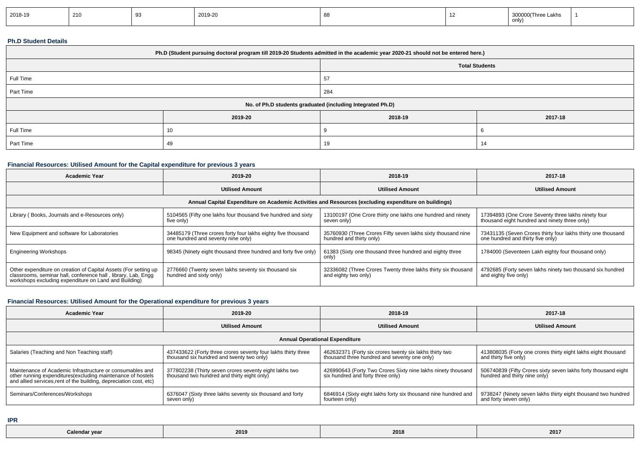| 2018-19 | 210 | 2019-20 |  | _akhs<br>n inree<br>ON U. |  |
|---------|-----|---------|--|---------------------------|--|
|         |     |         |  |                           |  |

### **Ph.D Student Details**

| Ph.D (Student pursuing doctoral program till 2019-20 Students admitted in the academic year 2020-21 should not be entered here.) |         |                                                            |         |  |  |  |
|----------------------------------------------------------------------------------------------------------------------------------|---------|------------------------------------------------------------|---------|--|--|--|
| <b>Total Students</b>                                                                                                            |         |                                                            |         |  |  |  |
| Full Time<br>57                                                                                                                  |         |                                                            |         |  |  |  |
| Part Time                                                                                                                        |         | 284                                                        |         |  |  |  |
|                                                                                                                                  |         | No. of Ph.D students graduated (including Integrated Ph.D) |         |  |  |  |
|                                                                                                                                  | 2019-20 | 2018-19                                                    | 2017-18 |  |  |  |
| Full Time                                                                                                                        | 10      |                                                            |         |  |  |  |
| Part Time                                                                                                                        | 49      | 19                                                         | 14      |  |  |  |

## **Financial Resources: Utilised Amount for the Capital expenditure for previous 3 years**

| <b>Academic Year</b>                                                                                                                                                                      | 2019-20                                                                                            | 2018-19                                                                                  | 2017-18                                                                                              |  |  |  |  |  |
|-------------------------------------------------------------------------------------------------------------------------------------------------------------------------------------------|----------------------------------------------------------------------------------------------------|------------------------------------------------------------------------------------------|------------------------------------------------------------------------------------------------------|--|--|--|--|--|
|                                                                                                                                                                                           | <b>Utilised Amount</b>                                                                             | <b>Utilised Amount</b>                                                                   | <b>Utilised Amount</b>                                                                               |  |  |  |  |  |
| Annual Capital Expenditure on Academic Activities and Resources (excluding expenditure on buildings)                                                                                      |                                                                                                    |                                                                                          |                                                                                                      |  |  |  |  |  |
| Library (Books, Journals and e-Resources only)                                                                                                                                            | 5104565 (Fifty one lakhs four thousand five hundred and sixty<br>five only)                        | 13100197 (One Crore thirty one lakhs one hundred and ninety<br>seven only)               | 17394893 (One Crore Seventy three lakhs ninety four<br>thousand eight hundred and ninety three only) |  |  |  |  |  |
| New Equipment and software for Laboratories                                                                                                                                               | 34485179 (Three crores forty four lakhs eighty five thousand<br>one hundred and seventy nine only) | 35760930 (Three Crores Fifty seven lakhs sixty thousand nine<br>hundred and thirty only) | 73431135 (Seven Crores thirty four lakhs thirty one thousand<br>one hundred and thirty five only)    |  |  |  |  |  |
| <b>Engineering Workshops</b>                                                                                                                                                              | 98345 (Ninety eight thousand three hundred and forty five only)                                    | 61383 (Sixty one thousand three hundred and eighty three<br>only)                        | 1784000 (Seventeen Lakh eighty four thousand only)                                                   |  |  |  |  |  |
| Other expenditure on creation of Capital Assets (For setting up<br>classrooms, seminar hall, conference hall, library, Lab, Engq<br>workshops excluding expenditure on Land and Building) | 2776660 (Twenty seven lakhs seventy six thousand six<br>hundred and sixty only)                    | 32336082 (Three Crores Twenty three lakhs thirty six thousand<br>and eighty two only)    | 4792685 (Forty seven lakhs ninety two thousand six hundred<br>and eighty five only)                  |  |  |  |  |  |

# **Financial Resources: Utilised Amount for the Operational expenditure for previous 3 years**

| Academic Year                                                                                                                                                                                   | 2019-20                                                                                                    | 2018-19                                                                                                 | 2017-18                                                                                         |  |  |  |  |  |
|-------------------------------------------------------------------------------------------------------------------------------------------------------------------------------------------------|------------------------------------------------------------------------------------------------------------|---------------------------------------------------------------------------------------------------------|-------------------------------------------------------------------------------------------------|--|--|--|--|--|
|                                                                                                                                                                                                 | <b>Utilised Amount</b>                                                                                     | <b>Utilised Amount</b>                                                                                  | <b>Utilised Amount</b>                                                                          |  |  |  |  |  |
| <b>Annual Operational Expenditure</b>                                                                                                                                                           |                                                                                                            |                                                                                                         |                                                                                                 |  |  |  |  |  |
| Salaries (Teaching and Non Teaching staff)                                                                                                                                                      | 437433622 (Forty three crores seventy four lakhs thirty three<br>thousand six hundred and twenty two only) | 462632371 (Forty six crores twenty six lakhs thirty two<br>thousand three hundred and seventy one only) | 413808035 (Forty one crores thirty eight lakhs eight thousand<br>and thirty five only)          |  |  |  |  |  |
| Maintenance of Academic Infrastructure or consumables and<br>other running expenditures (excluding maintenance of hostels<br>and allied services, rent of the building, depreciation cost, etc) | 377802238 (Thirty seven crores seventy eight lakhs two<br>thousand two hundred and thirty eight only)      | 426990643 (Forty Two Crores Sixty nine lakhs ninety thousand<br>six hundred and forty three only)       | 506740839 (Fifty Crores sixty seven lakhs forty thousand eight<br>hundred and thirty nine only) |  |  |  |  |  |
| Seminars/Conferences/Workshops                                                                                                                                                                  | 6376047 (Sixty three lakhs seventy six thousand and forty<br>seven only)                                   | 6846914 (Sixty eight lakhs forty six thousand nine hundred and<br>fourteen only)                        | 9738247 (Ninety seven lakhs thirty eight thousand two hundred<br>and forty seven only)          |  |  |  |  |  |

**IPR**

| Calendar year<br>. | 2019 | $\sim$ $\sim$ $\sim$<br>2018 | 2017 |
|--------------------|------|------------------------------|------|
|--------------------|------|------------------------------|------|